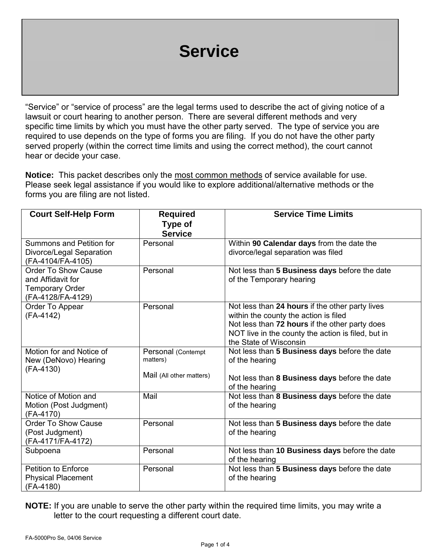# **Service**

"Service" or "service of process" are the legal terms used to describe the act of giving notice of a lawsuit or court hearing to another person. There are several different methods and very specific time limits by which you must have the other party served. The type of service you are required to use depends on the type of forms you are filing. If you do not have the other party served properly (within the correct time limits and using the correct method), the court cannot hear or decide your case.

**Notice:** This packet describes only the most common methods of service available for use. Please seek legal assistance if you would like to explore additional/alternative methods or the forms you are filing are not listed.

| <b>Court Self-Help Form</b>                                                                    | <b>Required</b><br><b>Type of</b>                          | <b>Service Time Limits</b>                                                                                                                                                                                                 |
|------------------------------------------------------------------------------------------------|------------------------------------------------------------|----------------------------------------------------------------------------------------------------------------------------------------------------------------------------------------------------------------------------|
|                                                                                                | <b>Service</b>                                             |                                                                                                                                                                                                                            |
| Summons and Petition for<br>Divorce/Legal Separation<br>(FA-4104/FA-4105)                      | Personal                                                   | Within 90 Calendar days from the date the<br>divorce/legal separation was filed                                                                                                                                            |
| <b>Order To Show Cause</b><br>and Affidavit for<br><b>Temporary Order</b><br>(FA-4128/FA-4129) | Personal                                                   | Not less than 5 Business days before the date<br>of the Temporary hearing                                                                                                                                                  |
| Order To Appear<br>(FA-4142)                                                                   | Personal                                                   | Not less than 24 hours if the other party lives<br>within the county the action is filed<br>Not less than 72 hours if the other party does<br>NOT live in the county the action is filed, but in<br>the State of Wisconsin |
| Motion for and Notice of<br>New (DeNovo) Hearing<br>(FA-4130)                                  | Personal (Contempt<br>matters)<br>Mail (All other matters) | Not less than 5 Business days before the date<br>of the hearing<br>Not less than 8 Business days before the date<br>of the hearing                                                                                         |
| Notice of Motion and<br>Motion (Post Judgment)<br>(FA-4170)                                    | Mail                                                       | Not less than 8 Business days before the date<br>of the hearing                                                                                                                                                            |
| <b>Order To Show Cause</b><br>(Post Judgment)<br>(FA-4171/FA-4172)                             | Personal                                                   | Not less than 5 Business days before the date<br>of the hearing                                                                                                                                                            |
| Subpoena                                                                                       | Personal                                                   | Not less than 10 Business days before the date<br>of the hearing                                                                                                                                                           |
| <b>Petition to Enforce</b><br><b>Physical Placement</b><br>(FA-4180)                           | Personal                                                   | Not less than 5 Business days before the date<br>of the hearing                                                                                                                                                            |

**NOTE:** If you are unable to serve the other party within the required time limits, you may write a letter to the court requesting a different court date.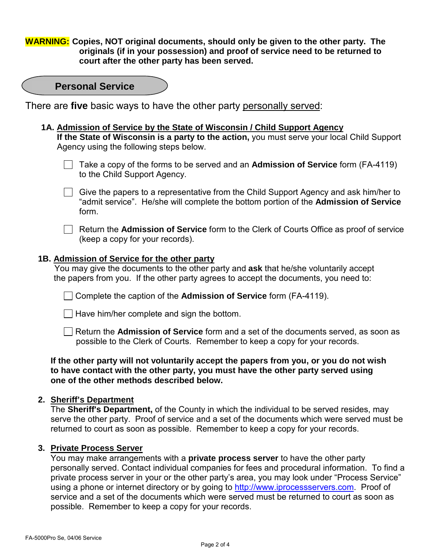**WARNING: Copies, NOT original documents, should only be given to the other party. The originals (if in your possession) and proof of service need to be returned to court after the other party has been served.** 

| <b>Personal Service</b> |  |
|-------------------------|--|
|-------------------------|--|

There are **five** basic ways to have the other party personally served:

 **1A. Admission of Service by the State of Wisconsin / Child Support Agency If the State of Wisconsin is a party to the action,** you must serve your local Child Support Agency using the following steps below.



Give the papers to a representative from the Child Support Agency and ask him/her to "admit service". He/she will complete the bottom portion of the **Admission of Service** form.

 Return the **Admission of Service** form to the Clerk of Courts Office as proof of service (keep a copy for your records).

#### **1B. Admission of Service for the other party**

 You may give the documents to the other party and **ask** that he/she voluntarily accept the papers from you. If the other party agrees to accept the documents, you need to:

Complete the caption of the **Admission of Service** form (FA-4119).

 $\Box$  Have him/her complete and sign the bottom.

 Return the **Admission of Service** form and a set of the documents served, as soon as possible to the Clerk of Courts. Remember to keep a copy for your records.

#### **If the other party will not voluntarily accept the papers from you, or you do not wish to have contact with the other party, you must have the other party served using one of the other methods described below.**

#### **2. Sheriff's Department**

The **Sheriff's Department,** of the County in which the individual to be served resides, may serve the other party. Proof of service and a set of the documents which were served must be returned to court as soon as possible. Remember to keep a copy for your records.

#### **3. Private Process Server**

You may make arrangements with a **private process server** to have the other party personally served. Contact individual companies for fees and procedural information. To find a private process server in your or the other party's area, you may look under "Process Service" using a phone or internet directory or by going to http://www.iprocessservers.com. Proof of service and a set of the documents which were served must be returned to court as soon as possible. Remember to keep a copy for your records.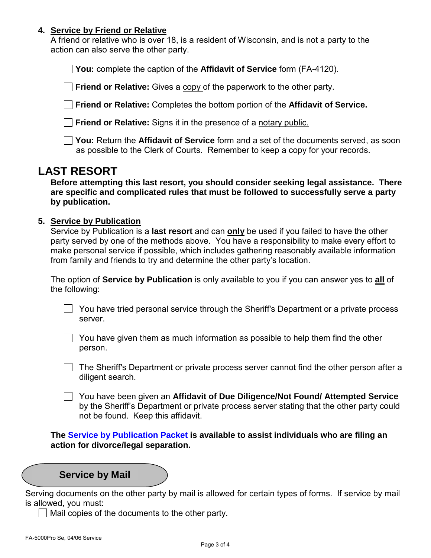#### **4. Service by Friend or Relative**

A friend or relative who is over 18, is a resident of Wisconsin, and is not a party to the action can also serve the other party.

 **You:** complete the caption of the **Affidavit of Service** form (FA-4120).

**Friend or Relative:** Gives a copy of the paperwork to the other party.

 **Friend or Relative:** Completes the bottom portion of the **Affidavit of Service.**

 **Friend or Relative:** Signs it in the presence of a notary public.

 **You:** Return the **Affidavit of Service** form and a set of the documents served, as soon as possible to the Clerk of Courts. Remember to keep a copy for your records.

# **LAST RESORT**

**Before attempting this last resort, you should consider seeking legal assistance. There are specific and complicated rules that must be followed to successfully serve a party by publication.** 

### **5. Service by Publication**

Service by Publication is a **last resort** and can **only** be used if you failed to have the other party served by one of the methods above. You have a responsibility to make every effort to make personal service if possible, which includes gathering reasonably available information from family and friends to try and determine the other party's location.

The option of **Service by Publication** is only available to you if you can answer yes to **all** of the following:

You have tried personal service through the Sheriff's Department or a private process server.

 $\Box$  You have given them as much information as possible to help them find the other person.

 $\Box$  The Sheriff's Department or private process server cannot find the other person after a diligent search.

 You have been given an **Affidavit of Due Diligence/Not Found/ Attempted Service** by the Sheriff's Department or private process server stating that the other party could not be found. Keep this affidavit.

**The Service by Publication Packet is available to assist individuals who are filing an action for divorce/legal separation.** 

## **Service by Mail**

Serving documents on the other party by mail is allowed for certain types of forms. If service by mail is allowed, you must:

 $\Box$  Mail copies of the documents to the other party.